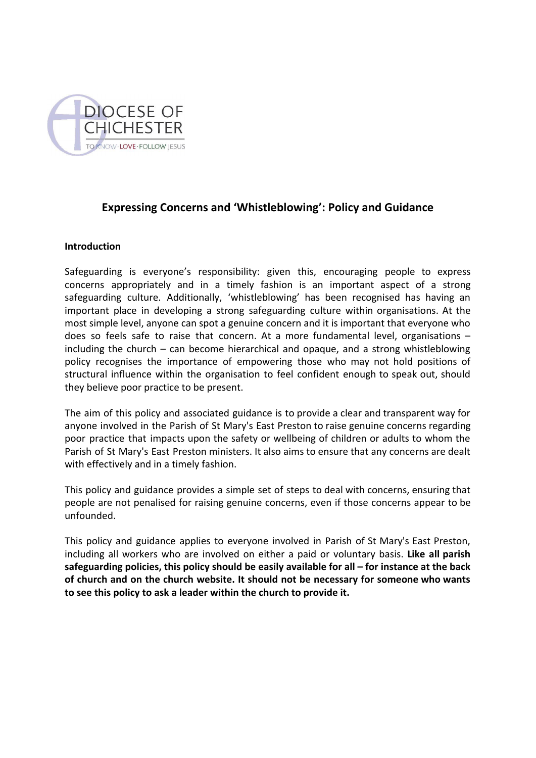

# **Expressing Concerns and 'Whistleblowing': Policy and Guidance**

### **Introduction**

Safeguarding is everyone's responsibility: given this, encouraging people to express concerns appropriately and in a timely fashion is an important aspect of a strong safeguarding culture. Additionally, 'whistleblowing' has been recognised has having an important place in developing a strong safeguarding culture within organisations. At the most simple level, anyone can spot a genuine concern and it is important that everyone who does so feels safe to raise that concern. At a more fundamental level, organisations – including the church – can become hierarchical and opaque, and a strong whistleblowing policy recognises the importance of empowering those who may not hold positions of structural influence within the organisation to feel confident enough to speak out, should they believe poor practice to be present.

The aim of this policy and associated guidance is to provide a clear and transparent way for anyone involved in the Parish of St Mary's East Preston to raise genuine concerns regarding poor practice that impacts upon the safety or wellbeing of children or adults to whom the Parish of St Mary's East Preston ministers. It also aims to ensure that any concerns are dealt with effectively and in a timely fashion.

This policy and guidance provides a simple set of steps to deal with concerns, ensuring that people are not penalised for raising genuine concerns, even if those concerns appear to be unfounded.

This policy and guidance applies to everyone involved in Parish of St Mary's East Preston, including all workers who are involved on either a paid or voluntary basis. **Like all parish safeguarding policies, this policy should be easily available for all – for instance at the back of church and on the church website. It should not be necessary for someone who wants to see this policy to ask a leader within the church to provide it.**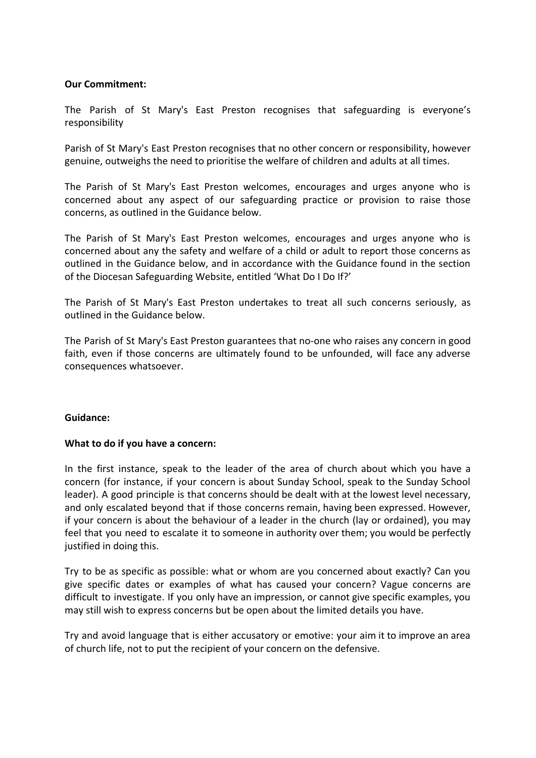### **Our Commitment:**

The Parish of St Mary's East Preston recognises that safeguarding is everyone's responsibility

Parish of St Mary's East Preston recognises that no other concern or responsibility, however genuine, outweighs the need to prioritise the welfare of children and adults at all times.

The Parish of St Mary's East Preston welcomes, encourages and urges anyone who is concerned about any aspect of our safeguarding practice or provision to raise those concerns, as outlined in the Guidance below.

The Parish of St Mary's East Preston welcomes, encourages and urges anyone who is concerned about any the safety and welfare of a child or adult to report those concerns as outlined in the Guidance below, and in accordance with the Guidance found in the section of the Diocesan Safeguarding Website, entitled 'What Do I Do If?'

The Parish of St Mary's East Preston undertakes to treat all such concerns seriously, as outlined in the Guidance below.

The Parish of St Mary's East Preston guarantees that no-one who raises any concern in good faith, even if those concerns are ultimately found to be unfounded, will face any adverse consequences whatsoever.

### **Guidance:**

#### **What to do if you have a concern:**

In the first instance, speak to the leader of the area of church about which you have a concern (for instance, if your concern is about Sunday School, speak to the Sunday School leader). A good principle is that concerns should be dealt with at the lowest level necessary, and only escalated beyond that if those concerns remain, having been expressed. However, if your concern is about the behaviour of a leader in the church (lay or ordained), you may feel that you need to escalate it to someone in authority over them; you would be perfectly justified in doing this.

Try to be as specific as possible: what or whom are you concerned about exactly? Can you give specific dates or examples of what has caused your concern? Vague concerns are difficult to investigate. If you only have an impression, or cannot give specific examples, you may still wish to express concerns but be open about the limited details you have.

Try and avoid language that is either accusatory or emotive: your aim it to improve an area of church life, not to put the recipient of your concern on the defensive.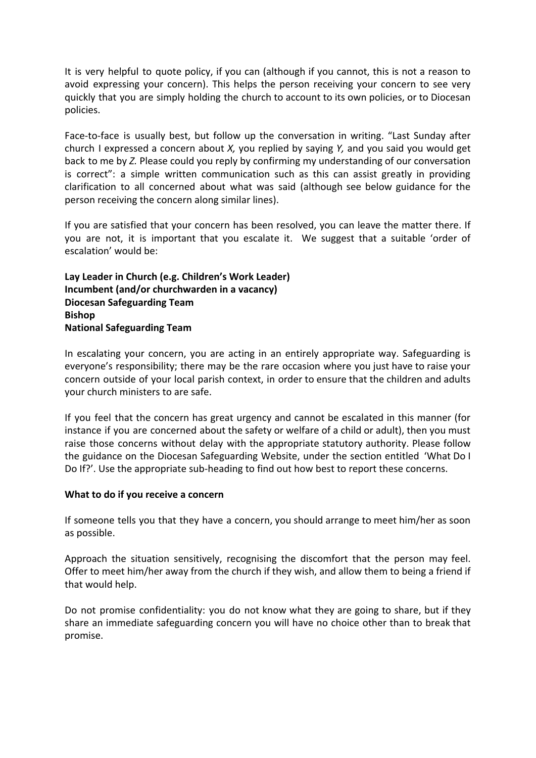It is very helpful to quote policy, if you can (although if you cannot, this is not a reason to avoid expressing your concern). This helps the person receiving your concern to see very quickly that you are simply holding the church to account to its own policies, or to Diocesan policies.

Face-to-face is usually best, but follow up the conversation in writing. "Last Sunday after church I expressed a concern about *X,* you replied by saying *Y,* and you said you would get back to me by *Z.* Please could you reply by confirming my understanding of our conversation is correct": a simple written communication such as this can assist greatly in providing clarification to all concerned about what was said (although see below guidance for the person receiving the concern along similar lines).

If you are satisfied that your concern has been resolved, you can leave the matter there. If you are not, it is important that you escalate it. We suggest that a suitable 'order of escalation' would be:

## **Lay Leader in Church (e.g. Children's Work Leader) Incumbent (and/or churchwarden in a vacancy) Diocesan Safeguarding Team Bishop National Safeguarding Team**

In escalating your concern, you are acting in an entirely appropriate way. Safeguarding is everyone's responsibility; there may be the rare occasion where you just have to raise your concern outside of your local parish context, in order to ensure that the children and adults your church ministers to are safe.

If you feel that the concern has great urgency and cannot be escalated in this manner (for instance if you are concerned about the safety or welfare of a child or adult), then you must raise those concerns without delay with the appropriate statutory authority. Please follow the guidance on the Diocesan Safeguarding Website, under the section entitled 'What Do I Do If?'. Use the appropriate sub-heading to find out how best to report these concerns.

### **What to do if you receive a concern**

If someone tells you that they have a concern, you should arrange to meet him/her as soon as possible.

Approach the situation sensitively, recognising the discomfort that the person may feel. Offer to meet him/her away from the church if they wish, and allow them to being a friend if that would help.

Do not promise confidentiality: you do not know what they are going to share, but if they share an immediate safeguarding concern you will have no choice other than to break that promise.